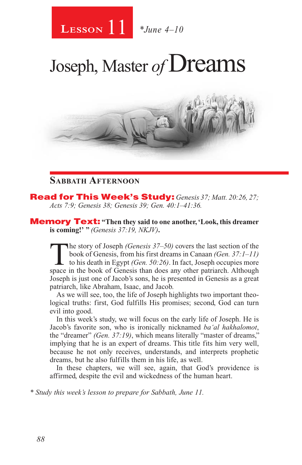

Joseph, Master of **Dreams** 



#### **Sabbath Afternoon**

Read for This Week's Study: *Genesis 37; Matt. 20:26, 27; Acts 7:9; Genesis 38; Genesis 39; Gen. 40:1–41:36.*

Memory Text: **"Then they said to one another, 'Look, this dreamer is coming!' "** *(Genesis 37:19, NKJV)***.**

The story of Joseph *(Genesis 37–50)* covers the last section of the book of Genesis, from his first dreams in Canaan *(Gen. 37:1–11)* to his death in Egypt *(Gen. 50:26)*. In fact, Joseph occupies more space in the book o book of Genesis, from his first dreams in Canaan *(Gen. 37:1–11)*  to his death in Egypt *(Gen. 50:26)*. In fact, Joseph occupies more space in the book of Genesis than does any other patriarch. Although Joseph is just one of Jacob's sons, he is presented in Genesis as a great patriarch, like Abraham, Isaac, and Jacob.

As we will see, too, the life of Joseph highlights two important theological truths: first, God fulfills His promises; second, God can turn evil into good.

In this week's study, we will focus on the early life of Joseph. He is Jacob's favorite son, who is ironically nicknamed *ba'al hakhalomot*, the "dreamer" *(Gen. 37:19)*, which means literally "master of dreams," implying that he is an expert of dreams. This title fits him very well, because he not only receives, understands, and interprets prophetic dreams, but he also fulfills them in his life, as well.

In these chapters, we will see, again, that God's providence is affirmed, despite the evil and wickedness of the human heart.

*\* Study this week's lesson to prepare for Sabbath, June 11.*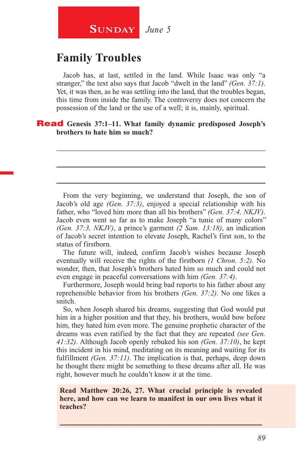## **SUNDAY** June 5

## **Family Troubles**

Jacob has, at last, settled in the land. While Isaac was only "a stranger," the text also says that Jacob "dwelt in the land" *(Gen. 37:1)*. Yet, it was then, as he was settling into the land, that the troubles began, this time from inside the family. The controversy does not concern the possession of the land or the use of a well; it is, mainly, spiritual.

\_\_\_\_\_\_\_\_\_\_\_\_\_\_\_\_\_\_\_\_\_\_\_\_\_\_\_\_\_\_\_\_\_\_\_\_\_\_\_\_\_\_\_\_\_\_\_\_\_\_\_\_\_\_\_\_

\_\_\_\_\_\_\_\_\_\_\_\_\_\_\_\_\_\_\_\_\_\_\_\_\_\_\_\_\_\_\_\_\_\_\_\_\_\_\_\_\_\_\_\_\_\_\_\_\_\_\_\_\_\_\_\_

\_\_\_\_\_\_\_\_\_\_\_\_\_\_\_\_\_\_\_\_\_\_\_\_\_\_\_\_\_\_\_\_\_\_\_\_\_\_\_\_\_\_\_\_\_\_\_\_\_\_\_\_\_\_\_\_

#### Read **Genesis 37:1–11. What family dynamic predisposed Joseph's brothers to hate him so much?**

From the very beginning, we understand that Joseph, the son of Jacob's old age *(Gen. 37:3)*, enjoyed a special relationship with his father, who "loved him more than all his brothers" *(Gen. 37:4, NKJV)*. Jacob even went so far as to make Joseph "a tunic of many colors" *(Gen. 37:3, NKJV)*, a prince's garment *(2 Sam. 13:18)*, an indication of Jacob's secret intention to elevate Joseph, Rachel's first son, to the status of firstborn.

The future will, indeed, confirm Jacob's wishes because Joseph eventually will receive the rights of the firstborn *(1 Chron. 5:2)*. No wonder, then, that Joseph's brothers hated him so much and could not even engage in peaceful conversations with him *(Gen. 37:4)*.

Furthermore, Joseph would bring bad reports to his father about any reprehensible behavior from his brothers *(Gen. 37:2)*. No one likes a snitch.

So, when Joseph shared his dreams, suggesting that God would put him in a higher position and that they, his brothers, would bow before him, they hated him even more. The genuine prophetic character of the dreams was even ratified by the fact that they are repeated *(see Gen. 41:32)*. Although Jacob openly rebuked his son *(Gen. 37:10)*, he kept this incident in his mind, meditating on its meaning and waiting for its fulfillment *(Gen. 37:11)*. The implication is that, perhaps, deep down he thought there might be something to these dreams after all. He was right, however much he couldn't know it at the time.

#### **Read Matthew 20:26, 27. What crucial principle is revealed here, and how can we learn to manifest in our own lives what it teaches?**

 $\_$  , and the set of the set of the set of the set of the set of the set of the set of the set of the set of the set of the set of the set of the set of the set of the set of the set of the set of the set of the set of th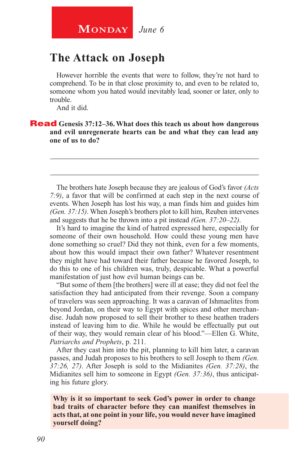## **The Attack on Joseph**

However horrible the events that were to follow, they're not hard to comprehend. To be in that close proximity to, and even to be related to, someone whom you hated would inevitably lead, sooner or later, only to trouble.

And it did.

Read **Genesis 37:12–36. What does this teach us about how dangerous and evil unregenerate hearts can be and what they can lead any one of us to do?**

The brothers hate Joseph because they are jealous of God's favor *(Acts 7:9)*, a favor that will be confirmed at each step in the next course of events. When Joseph has lost his way, a man finds him and guides him *(Gen. 37:15)*. When Joseph's brothers plot to kill him, Reuben intervenes and suggests that he be thrown into a pit instead *(Gen. 37:20–22)*.

\_\_\_\_\_\_\_\_\_\_\_\_\_\_\_\_\_\_\_\_\_\_\_\_\_\_\_\_\_\_\_\_\_\_\_\_\_\_\_\_\_\_\_\_\_\_\_\_\_\_\_\_\_\_\_\_

\_\_\_\_\_\_\_\_\_\_\_\_\_\_\_\_\_\_\_\_\_\_\_\_\_\_\_\_\_\_\_\_\_\_\_\_\_\_\_\_\_\_\_\_\_\_\_\_\_\_\_\_\_\_\_\_

It's hard to imagine the kind of hatred expressed here, especially for someone of their own household. How could these young men have done something so cruel? Did they not think, even for a few moments, about how this would impact their own father? Whatever resentment they might have had toward their father because he favored Joseph, to do this to one of his children was, truly, despicable. What a powerful manifestation of just how evil human beings can be.

"But some of them [the brothers] were ill at ease; they did not feel the satisfaction they had anticipated from their revenge. Soon a company of travelers was seen approaching. It was a caravan of Ishmaelites from beyond Jordan, on their way to Egypt with spices and other merchandise. Judah now proposed to sell their brother to these heathen traders instead of leaving him to die. While he would be effectually put out of their way, they would remain clear of his blood."—Ellen G. White, *Patriarchs and Prophets*, p. 211.

After they cast him into the pit, planning to kill him later, a caravan passes, and Judah proposes to his brothers to sell Joseph to them *(Gen. 37:26, 27)*. After Joseph is sold to the Midianites *(Gen. 37:28)*, the Midianites sell him to someone in Egypt *(Gen. 37:36)*, thus anticipating his future glory.

**Why is it so important to seek God's power in order to change bad traits of character before they can manifest themselves in acts that, at one point in your life, you would never have imagined yourself doing?**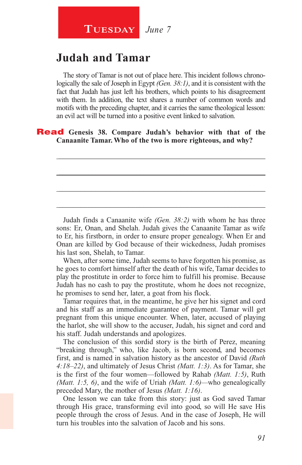## **Judah and Tamar**

The story of Tamar is not out of place here. This incident follows chronologically the sale of Joseph in Egypt *(Gen. 38:1)*, and it is consistent with the fact that Judah has just left his brothers, which points to his disagreement with them. In addition, the text shares a number of common words and motifs with the preceding chapter, and it carries the same theological lesson: an evil act will be turned into a positive event linked to salvation.

\_\_\_\_\_\_\_\_\_\_\_\_\_\_\_\_\_\_\_\_\_\_\_\_\_\_\_\_\_\_\_\_\_\_\_\_\_\_\_\_\_\_\_\_\_\_\_\_\_\_\_\_\_\_\_\_

\_\_\_\_\_\_\_\_\_\_\_\_\_\_\_\_\_\_\_\_\_\_\_\_\_\_\_\_\_\_\_\_\_\_\_\_\_\_\_\_\_\_\_\_\_\_\_\_\_\_\_\_\_\_\_\_

\_\_\_\_\_\_\_\_\_\_\_\_\_\_\_\_\_\_\_\_\_\_\_\_\_\_\_\_\_\_\_\_\_\_\_\_\_\_\_\_\_\_\_\_\_\_\_\_\_\_\_\_\_\_\_\_

\_\_\_\_\_\_\_\_\_\_\_\_\_\_\_\_\_\_\_\_\_\_\_\_\_\_\_\_\_\_\_\_\_\_\_\_\_\_\_\_\_\_\_\_\_\_\_\_\_\_\_\_\_\_\_\_

#### Read **Genesis 38. Compare Judah's behavior with that of the Canaanite Tamar. Who of the two is more righteous, and why?**

Judah finds a Canaanite wife *(Gen. 38:2)* with whom he has three sons: Er, Onan, and Shelah. Judah gives the Canaanite Tamar as wife to Er, his firstborn, in order to ensure proper genealogy. When Er and Onan are killed by God because of their wickedness, Judah promises his last son, Shelah, to Tamar.

When, after some time, Judah seems to have forgotten his promise, as he goes to comfort himself after the death of his wife, Tamar decides to play the prostitute in order to force him to fulfill his promise. Because Judah has no cash to pay the prostitute, whom he does not recognize, he promises to send her, later, a goat from his flock.

Tamar requires that, in the meantime, he give her his signet and cord and his staff as an immediate guarantee of payment. Tamar will get pregnant from this unique encounter. When, later, accused of playing the harlot, she will show to the accuser, Judah, his signet and cord and his staff. Judah understands and apologizes.

The conclusion of this sordid story is the birth of Perez, meaning "breaking through," who, like Jacob, is born second, and becomes first, and is named in salvation history as the ancestor of David *(Ruth 4:18–22)*, and ultimately of Jesus Christ *(Matt. 1:3)*. As for Tamar, she is the first of the four women—followed by Rahab *(Matt. 1:5)*, Ruth *(Matt. 1:5, 6)*, and the wife of Uriah *(Matt. 1:6)—*who genealogically preceded Mary, the mother of Jesus *(Matt. 1:16)*.

One lesson we can take from this story: just as God saved Tamar through His grace, transforming evil into good, so will He save His people through the cross of Jesus. And in the case of Joseph, He will turn his troubles into the salvation of Jacob and his sons.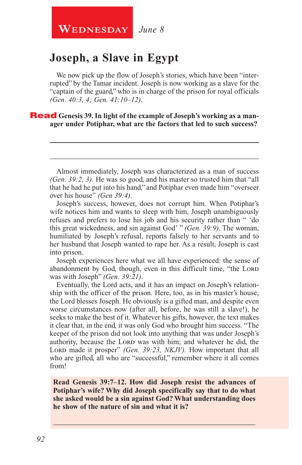## **Joseph, a Slave in Egypt**

We now pick up the flow of Joseph's stories, which have been "interrupted" by the Tamar incident. Joseph is now working as a slave for the "captain of the guard," who is in charge of the prison for royal officials *(Gen. 40:3, 4; Gen. 41:10–12)*.

#### **Read** Genesis 39. In light of the example of Joseph's working as a man**ager under Potiphar, what are the factors that led to such success?**

Almost immediately, Joseph was characterized as a man of success *(Gen. 39:2, 3).* He was so good, and his master so trusted him that "all that he had he put into his hand," and Potiphar even made him "overseer over his house" *(Gen 39:4)*.

\_\_\_\_\_\_\_\_\_\_\_\_\_\_\_\_\_\_\_\_\_\_\_\_\_\_\_\_\_\_\_\_\_\_\_\_\_\_\_\_\_\_\_\_\_\_\_\_\_\_\_\_\_\_\_\_

\_\_\_\_\_\_\_\_\_\_\_\_\_\_\_\_\_\_\_\_\_\_\_\_\_\_\_\_\_\_\_\_\_\_\_\_\_\_\_\_\_\_\_\_\_\_\_\_\_\_\_\_\_\_\_\_

Joseph's success, however, does not corrupt him. When Potiphar's wife notices him and wants to sleep with him, Joseph unambiguously refuses and prefers to lose his job and his security rather than " 'do this great wickedness, and sin against God' " *(Gen. 39:9)*. The woman, humiliated by Joseph's refusal, reports falsely to her servants and to her husband that Joseph wanted to rape her. As a result, Joseph is cast into prison.

Joseph experiences here what we all have experienced: the sense of abandonment by God, though, even in this difficult time, "the LORD was with Joseph" *(Gen. 39:21)*.

Eventually, the Lord acts, and it has an impact on Joseph's relationship with the officer of the prison. Here, too, as in his master's house, the Lord blesses Joseph. He obviously is a gifted man, and despite even worse circumstances now (after all, before, he was still a slave!), he seeks to make the best of it. Whatever his gifts, however, the text makes it clear that, in the end, it was only God who brought him success. "The keeper of the prison did not look into anything that was under Joseph's authority, because the LORD was with him; and whatever he did, the Lord made it prosper" (Gen. 39:23, NKJV). How important that all who are gifted, all who are "successful," remember where it all comes from!

**Read Genesis 39:7–12. How did Joseph resist the advances of Potiphar's wife? Why did Joseph specifically say that to do what she asked would be a sin against God? What understanding does he show of the nature of sin and what it is?**

\_\_\_\_\_\_\_\_\_\_\_\_\_\_\_\_\_\_\_\_\_\_\_\_\_\_\_\_\_\_\_\_\_\_\_\_\_\_\_\_\_\_\_\_\_\_\_\_\_\_\_\_\_\_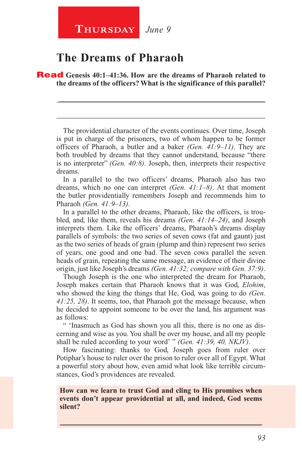#### **Thursday** *June 9*

### **The Dreams of Pharaoh**

Read **Genesis 40:1–41:36. How are the dreams of Pharaoh related to the dreams of the officers? What is the significance of this parallel?** 

The providential character of the events continues. Over time, Joseph is put in charge of the prisoners, two of whom happen to be former officers of Pharaoh, a butler and a baker *(Gen. 41:9–11)*. They are both troubled by dreams that they cannot understand, because "there is no interpreter" *(Gen. 40:8)*. Joseph, then, interprets their respective dreams.

\_\_\_\_\_\_\_\_\_\_\_\_\_\_\_\_\_\_\_\_\_\_\_\_\_\_\_\_\_\_\_\_\_\_\_\_\_\_\_\_\_\_\_\_\_\_\_\_\_\_\_\_\_\_\_\_

\_\_\_\_\_\_\_\_\_\_\_\_\_\_\_\_\_\_\_\_\_\_\_\_\_\_\_\_\_\_\_\_\_\_\_\_\_\_\_\_\_\_\_\_\_\_\_\_\_\_\_\_\_\_\_\_

In a parallel to the two officers' dreams, Pharaoh also has two dreams, which no one can interpret *(Gen. 41:1–8)*. At that moment the butler providentially remembers Joseph and recommends him to Pharaoh *(Gen. 41:9–13)*.

In a parallel to the other dreams, Pharaoh, like the officers, is troubled, and, like them, reveals his dreams *(Gen. 41:14–24)*, and Joseph interprets them. Like the officers' dreams, Pharaoh's dreams display parallels of symbols: the two series of seven cows (fat and gaunt) just as the two series of heads of grain (plump and thin) represent two series of years, one good and one bad. The seven cows parallel the seven heads of grain, repeating the same message, an evidence of their divine origin, just like Joseph's dreams *(Gen. 41:32; compare with Gen. 37:9)*.

Though Joseph is the one who interpreted the dream for Pharaoh, Joseph makes certain that Pharaoh knows that it was God, *Elohim*, who showed the king the things that He, God, was going to do *(Gen. 41:25, 28)*. It seems, too, that Pharaoh got the message because, when he decided to appoint someone to be over the land, his argument was as follows:

" 'Inasmuch as God has shown you all this, there is no one as discerning and wise as you. You shall be over my house, and all my people shall be ruled according to your word' " *(Gen. 41:39, 40, NKJV)*.

How fascinating: thanks to God, Joseph goes from ruler over Potiphar's house to ruler over the prison to ruler over all of Egypt. What a powerful story about how, even amid what look like terrible circumstances, God's providences are revealed.

**How can we learn to trust God and cling to His promises when events don't appear providential at all, and indeed, God seems silent?**

 $\_$  , and the set of the set of the set of the set of the set of the set of the set of the set of the set of the set of the set of the set of the set of the set of the set of the set of the set of the set of the set of th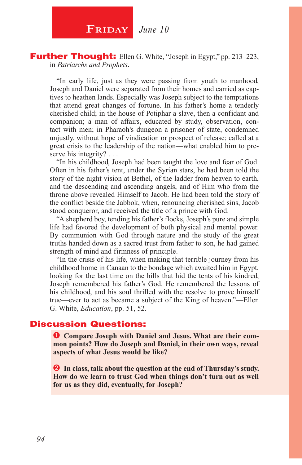## **FRIDAY** June 10

Further Thought: Ellen G. White, "Joseph in Egypt," pp. 213-223, in *Patriarchs and Prophets*.

"In early life, just as they were passing from youth to manhood, Joseph and Daniel were separated from their homes and carried as captives to heathen lands. Especially was Joseph subject to the temptations that attend great changes of fortune. In his father's home a tenderly cherished child; in the house of Potiphar a slave, then a confidant and companion; a man of affairs, educated by study, observation, contact with men; in Pharaoh's dungeon a prisoner of state, condemned unjustly, without hope of vindication or prospect of release; called at a great crisis to the leadership of the nation—what enabled him to preserve his integrity? . . .

"In his childhood, Joseph had been taught the love and fear of God. Often in his father's tent, under the Syrian stars, he had been told the story of the night vision at Bethel, of the ladder from heaven to earth, and the descending and ascending angels, and of Him who from the throne above revealed Himself to Jacob. He had been told the story of the conflict beside the Jabbok, when, renouncing cherished sins, Jacob stood conqueror, and received the title of a prince with God.

"A shepherd boy, tending his father's flocks, Joseph's pure and simple life had favored the development of both physical and mental power. By communion with God through nature and the study of the great truths handed down as a sacred trust from father to son, he had gained strength of mind and firmness of principle.

"In the crisis of his life, when making that terrible journey from his childhood home in Canaan to the bondage which awaited him in Egypt, looking for the last time on the hills that hid the tents of his kindred, Joseph remembered his father's God. He remembered the lessons of his childhood, and his soul thrilled with the resolve to prove himself true—ever to act as became a subject of the King of heaven."—Ellen G. White, *Education*, pp. 51, 52.

#### Discussion Questions:

 **Compare Joseph with Daniel and Jesus. What are their common points? How do Joseph and Daniel, in their own ways, reveal aspects of what Jesus would be like?**

**2** In class, talk about the question at the end of Thursday's study. **How do we learn to trust God when things don't turn out as well for us as they did, eventually, for Joseph?**